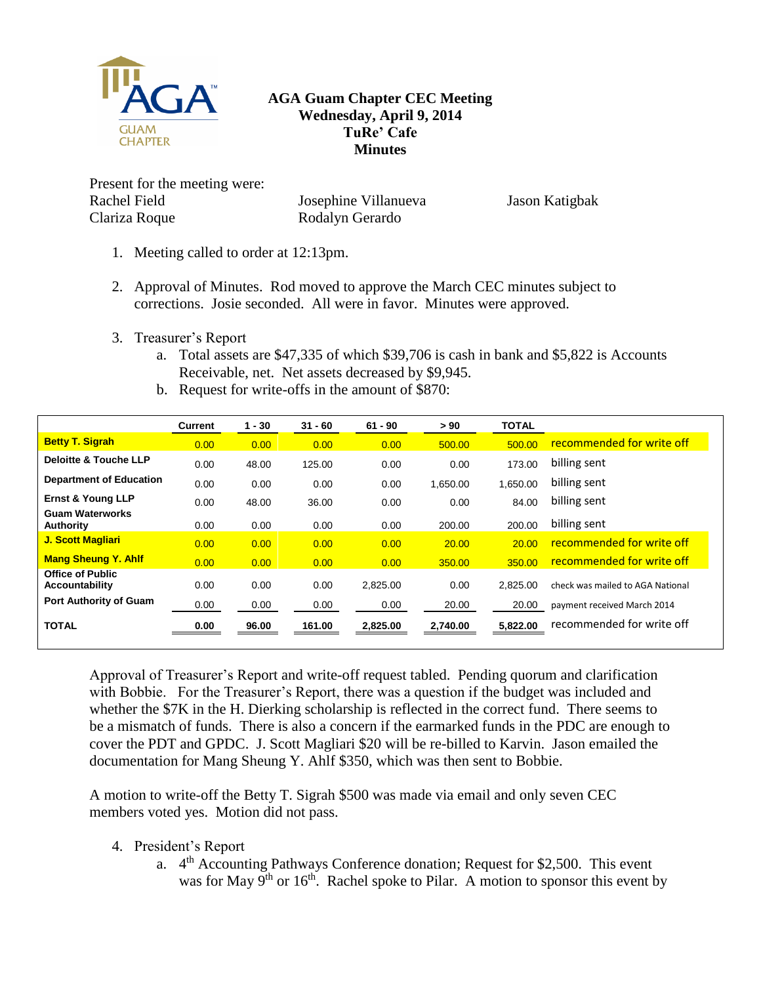

## **AGA Guam Chapter CEC Meeting Wednesday, April 9, 2014 TuRe' Cafe Minutes**

Present for the meeting were: Rachel Field Clariza Roque

Josephine Villanueva Rodalyn Gerardo

Jason Katigbak

- 1. Meeting called to order at 12:13pm.
- 2. Approval of Minutes. Rod moved to approve the March CEC minutes subject to corrections. Josie seconded. All were in favor. Minutes were approved.
- 3. Treasurer's Report
	- a. Total assets are \$47,335 of which \$39,706 is cash in bank and \$5,822 is Accounts Receivable, net. Net assets decreased by \$9,945.
	- b. Request for write-offs in the amount of \$870:

|                                                  | <b>Current</b> | $1 - 30$ | $31 - 60$ | $61 - 90$ | > 90     | <b>TOTAL</b> |                                  |
|--------------------------------------------------|----------------|----------|-----------|-----------|----------|--------------|----------------------------------|
| <b>Betty T. Sigrah</b>                           | 0.00           | 0.00     | 0.00      | 0.00      | 500.00   | 500.00       | recommended for write off        |
| <b>Deloitte &amp; Touche LLP</b>                 | 0.00           | 48.00    | 125.00    | 0.00      | 0.00     | 173.00       | billing sent                     |
| <b>Department of Education</b>                   | 0.00           | 0.00     | 0.00      | 0.00      | 1,650.00 | 1.650.00     | billing sent                     |
| <b>Ernst &amp; Young LLP</b>                     | 0.00           | 48.00    | 36.00     | 0.00      | 0.00     | 84.00        | billing sent                     |
| <b>Guam Waterworks</b><br>Authority              | 0.00           | 0.00     | 0.00      | 0.00      | 200.00   | 200.00       | billing sent                     |
| <b>J. Scott Magliari</b>                         | 0.00           | 0.00     | 0.00      | 0.00      | 20.00    | 20.00        | recommended for write off        |
| <b>Mang Sheung Y. Ahlf</b>                       | 0.00           | 0.00     | 0.00      | 0.00      | 350.00   | 350.00       | recommended for write off        |
| <b>Office of Public</b><br><b>Accountability</b> | 0.00           | 0.00     | 0.00      | 2,825.00  | 0.00     | 2.825.00     | check was mailed to AGA National |
| <b>Port Authority of Guam</b>                    | 0.00           | 0.00     | 0.00      | 0.00      | 20.00    | 20.00        | payment received March 2014      |
| <b>TOTAL</b>                                     | 0.00           | 96.00    | 161.00    | 2,825.00  | 2,740.00 | 5,822.00     | recommended for write off        |

Approval of Treasurer's Report and write-off request tabled. Pending quorum and clarification with Bobbie. For the Treasurer's Report, there was a question if the budget was included and whether the \$7K in the H. Dierking scholarship is reflected in the correct fund. There seems to be a mismatch of funds. There is also a concern if the earmarked funds in the PDC are enough to cover the PDT and GPDC. J. Scott Magliari \$20 will be re-billed to Karvin. Jason emailed the documentation for Mang Sheung Y. Ahlf \$350, which was then sent to Bobbie.

A motion to write-off the Betty T. Sigrah \$500 was made via email and only seven CEC members voted yes. Motion did not pass.

- 4. President's Report
	- a. 4<sup>th</sup> Accounting Pathways Conference donation; Request for \$2,500. This event was for May  $9<sup>th</sup>$  or  $16<sup>th</sup>$ . Rachel spoke to Pilar. A motion to sponsor this event by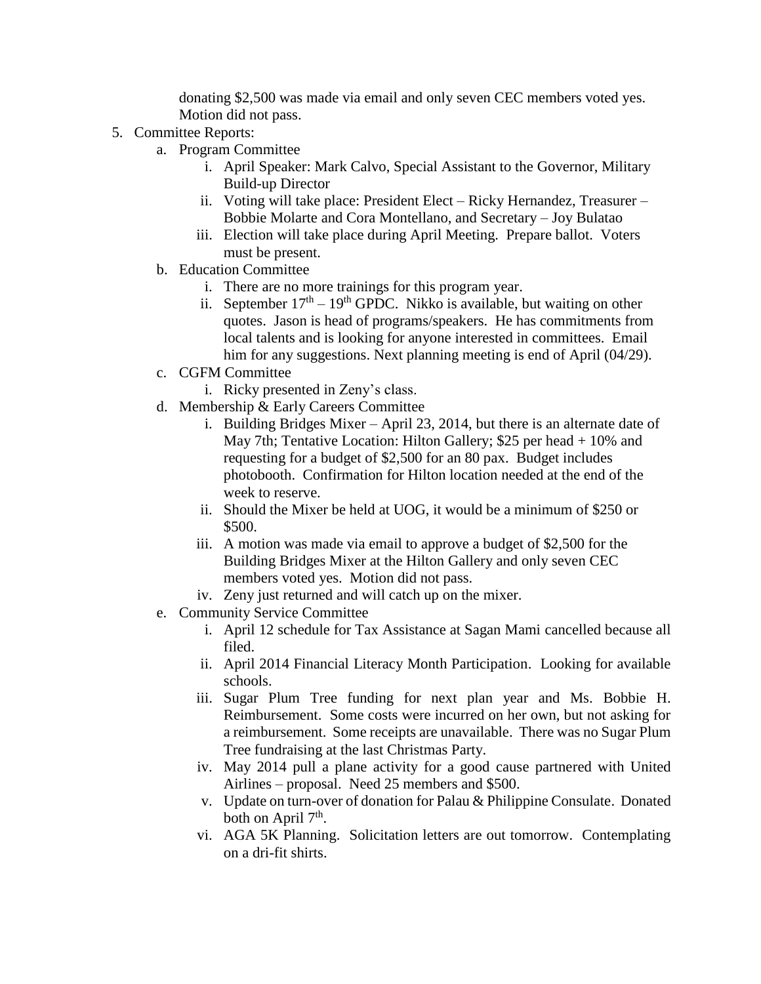donating \$2,500 was made via email and only seven CEC members voted yes. Motion did not pass.

- 5. Committee Reports:
	- a. Program Committee
		- i. April Speaker: Mark Calvo, Special Assistant to the Governor, Military Build-up Director
		- ii. Voting will take place: President Elect Ricky Hernandez, Treasurer Bobbie Molarte and Cora Montellano, and Secretary – Joy Bulatao
		- iii. Election will take place during April Meeting. Prepare ballot. Voters must be present.
	- b. Education Committee
		- i. There are no more trainings for this program year.
		- ii. September  $17<sup>th</sup> 19<sup>th</sup>$  GPDC. Nikko is available, but waiting on other quotes. Jason is head of programs/speakers. He has commitments from local talents and is looking for anyone interested in committees. Email him for any suggestions. Next planning meeting is end of April (04/29).
	- c. CGFM Committee
		- i. Ricky presented in Zeny's class.
	- d. Membership & Early Careers Committee
		- i. Building Bridges Mixer April 23, 2014, but there is an alternate date of May 7th; Tentative Location: Hilton Gallery; \$25 per head + 10% and requesting for a budget of \$2,500 for an 80 pax. Budget includes photobooth. Confirmation for Hilton location needed at the end of the week to reserve.
		- ii. Should the Mixer be held at UOG, it would be a minimum of \$250 or \$500.
		- iii. A motion was made via email to approve a budget of \$2,500 for the Building Bridges Mixer at the Hilton Gallery and only seven CEC members voted yes. Motion did not pass.
		- iv. Zeny just returned and will catch up on the mixer.
	- e. Community Service Committee
		- i. April 12 schedule for Tax Assistance at Sagan Mami cancelled because all filed.
		- ii. April 2014 Financial Literacy Month Participation. Looking for available schools.
		- iii. Sugar Plum Tree funding for next plan year and Ms. Bobbie H. Reimbursement. Some costs were incurred on her own, but not asking for a reimbursement. Some receipts are unavailable. There was no Sugar Plum Tree fundraising at the last Christmas Party.
		- iv. May 2014 pull a plane activity for a good cause partnered with United Airlines – proposal. Need 25 members and \$500.
		- v. Update on turn-over of donation for Palau & Philippine Consulate. Donated both on April  $7<sup>th</sup>$ .
		- vi. AGA 5K Planning. Solicitation letters are out tomorrow. Contemplating on a dri-fit shirts.